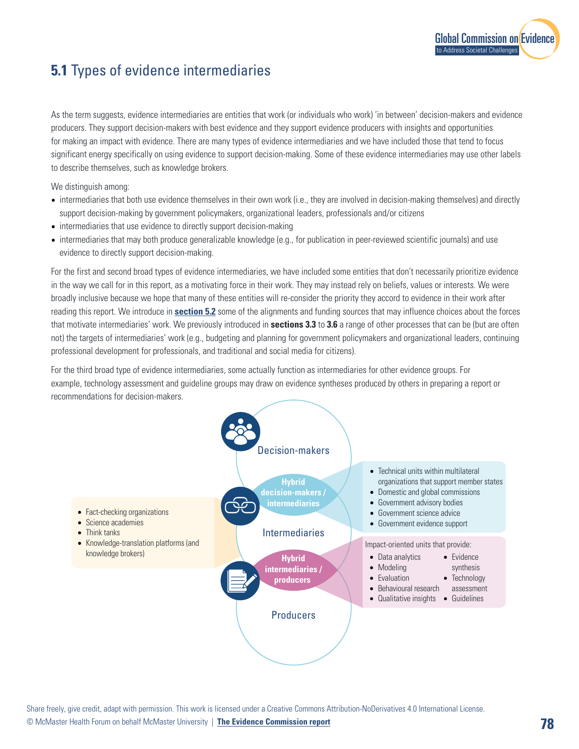

## **5.1** Types of evidence intermediaries

As the term suggests, evidence intermediaries are entities that work (or individuals who work) 'in between' decision-makers and evidence producers. They support decision-makers with best evidence and they support evidence producers with insights and opportunities for making an impact with evidence. There are many types of evidence intermediaries and we have included those that tend to focus significant energy specifically on using evidence to support decision-making. Some of these evidence intermediaries may use other labels to describe themselves, such as knowledge brokers.

We distinguish among:

- intermediaries that both use evidence themselves in their own work (i.e., they are involved in decision-making themselves) and directly support decision-making by government policymakers, organizational leaders, professionals and/or citizens
- intermediaries that use evidence to directly support decision-making
- intermediaries that may both produce generalizable knowledge (e.g., for publication in peer-reviewed scientific journals) and use evidence to directly support decision-making.

For the first and second broad types of evidence intermediaries, we have included some entities that don't necessarily prioritize evidence in the way we call for in this report, as a motivating force in their work. They may instead rely on beliefs, values or interests. We were broadly inclusive because we hope that many of these entities will re-consider the priority they accord to evidence in their work after reading this report. We introduce in **section 5.2** some of the alignments and funding sources that may influence choices about the forces that motivate intermediaries' work. We previously introduced in **sections 3.3** to **3.6** a range of other processes that can be (but are often not) the targets of intermediaries' work (e.g., budgeting and planning for government policymakers and organizational leaders, continuing professional development for professionals, and traditional and social media for citizens).

For the third broad type of evidence intermediaries, some actually function as intermediaries for other evidence groups. For example, technology assessment and guideline groups may draw on evidence syntheses produced by others in preparing a report or recommendations for decision-makers.



Share freely, give credit, adapt with permission. This work is licensed under a Creative Commons Attribution-NoDerivatives 4.0 International License.